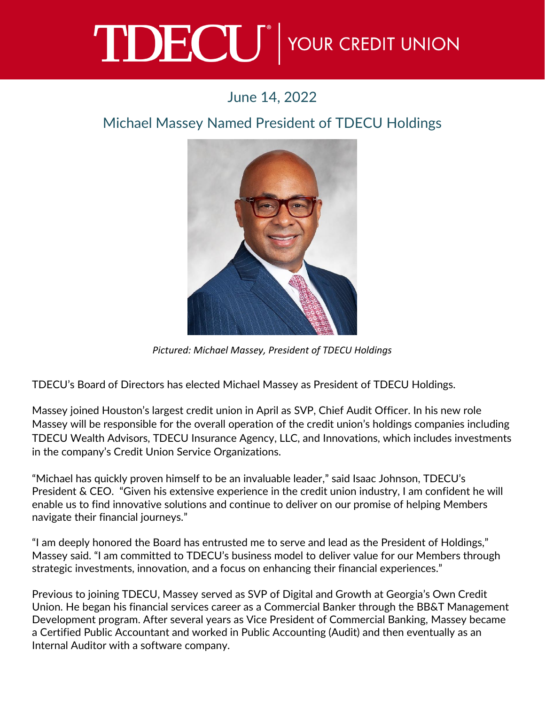## TDECU<sup>®</sup> YOUR CREDIT UNION

## June 14, 2022

## Michael Massey Named President of TDECU Holdings



*Pictured: Michael Massey, President of TDECU Holdings*

TDECU's Board of Directors has elected Michael Massey as President of TDECU Holdings.

Massey joined Houston's largest credit union in April as SVP, Chief Audit Officer. In his new role Massey will be responsible for the overall operation of the credit union's holdings companies including TDECU Wealth Advisors, TDECU Insurance Agency, LLC, and Innovations, which includes investments in the company's Credit Union Service Organizations.

"Michael has quickly proven himself to be an invaluable leader," said Isaac Johnson, TDECU's President & CEO. "Given his extensive experience in the credit union industry, I am confident he will enable us to find innovative solutions and continue to deliver on our promise of helping Members navigate their financial journeys."

"I am deeply honored the Board has entrusted me to serve and lead as the President of Holdings," Massey said. "I am committed to TDECU's business model to deliver value for our Members through strategic investments, innovation, and a focus on enhancing their financial experiences."

Previous to joining TDECU, Massey served as SVP of Digital and Growth at Georgia's Own Credit Union. He began his financial services career as a Commercial Banker through the BB&T Management Development program. After several years as Vice President of Commercial Banking, Massey became a Certified Public Accountant and worked in Public Accounting (Audit) and then eventually as an Internal Auditor with a software company.